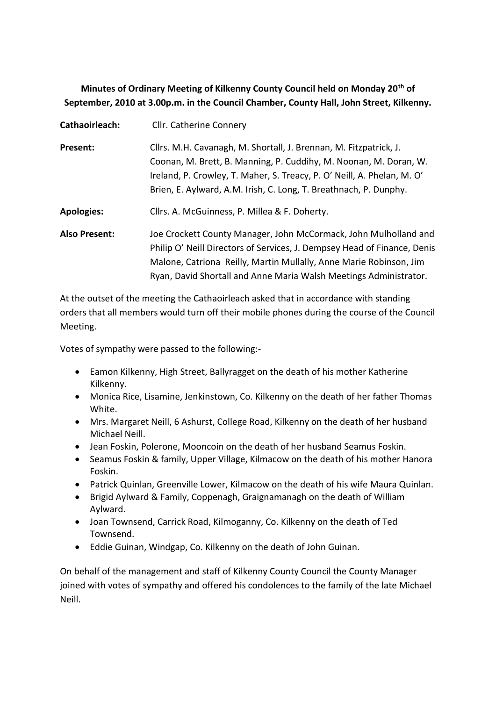# **Minutes of Ordinary Meeting of Kilkenny County Council held on Monday 20th of September, 2010 at 3.00p.m. in the Council Chamber, County Hall, John Street, Kilkenny.**

| Cathaoirleach:       | Cllr. Catherine Connery                                                  |
|----------------------|--------------------------------------------------------------------------|
| Present:             | Cllrs. M.H. Cavanagh, M. Shortall, J. Brennan, M. Fitzpatrick, J.        |
|                      | Coonan, M. Brett, B. Manning, P. Cuddihy, M. Noonan, M. Doran, W.        |
|                      | Ireland, P. Crowley, T. Maher, S. Treacy, P. O' Neill, A. Phelan, M. O'  |
|                      | Brien, E. Aylward, A.M. Irish, C. Long, T. Breathnach, P. Dunphy.        |
| <b>Apologies:</b>    | Cllrs. A. McGuinness, P. Millea & F. Doherty.                            |
| <b>Also Present:</b> | Joe Crockett County Manager, John McCormack, John Mulholland and         |
|                      | Philip O' Neill Directors of Services, J. Dempsey Head of Finance, Denis |
|                      | Malone, Catriona Reilly, Martin Mullally, Anne Marie Robinson, Jim       |
|                      | Ryan, David Shortall and Anne Maria Walsh Meetings Administrator.        |

At the outset of the meeting the Cathaoirleach asked that in accordance with standing orders that all members would turn off their mobile phones during the course of the Council Meeting.

Votes of sympathy were passed to the following:-

- Eamon Kilkenny, High Street, Ballyragget on the death of his mother Katherine Kilkenny.
- Monica Rice, Lisamine, Jenkinstown, Co. Kilkenny on the death of her father Thomas White.
- Mrs. Margaret Neill, 6 Ashurst, College Road, Kilkenny on the death of her husband Michael Neill.
- Jean Foskin, Polerone, Mooncoin on the death of her husband Seamus Foskin.
- Seamus Foskin & family, Upper Village, Kilmacow on the death of his mother Hanora Foskin.
- Patrick Quinlan, Greenville Lower, Kilmacow on the death of his wife Maura Quinlan.
- Brigid Aylward & Family, Coppenagh, Graignamanagh on the death of William Aylward.
- Joan Townsend, Carrick Road, Kilmoganny, Co. Kilkenny on the death of Ted Townsend.
- Eddie Guinan, Windgap, Co. Kilkenny on the death of John Guinan.

On behalf of the management and staff of Kilkenny County Council the County Manager joined with votes of sympathy and offered his condolences to the family of the late Michael Neill.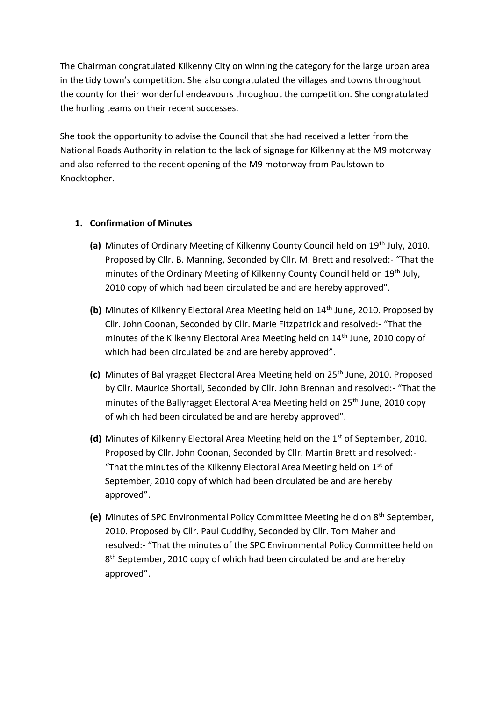The Chairman congratulated Kilkenny City on winning the category for the large urban area in the tidy town's competition. She also congratulated the villages and towns throughout the county for their wonderful endeavours throughout the competition. She congratulated the hurling teams on their recent successes.

She took the opportunity to advise the Council that she had received a letter from the National Roads Authority in relation to the lack of signage for Kilkenny at the M9 motorway and also referred to the recent opening of the M9 motorway from Paulstown to Knocktopher.

## **1. Confirmation of Minutes**

- **(a)** Minutes of Ordinary Meeting of Kilkenny County Council held on 19th July, 2010. Proposed by Cllr. B. Manning, Seconded by Cllr. M. Brett and resolved:- "That the minutes of the Ordinary Meeting of Kilkenny County Council held on 19th July, 2010 copy of which had been circulated be and are hereby approved".
- **(b)** Minutes of Kilkenny Electoral Area Meeting held on 14th June, 2010. Proposed by Cllr. John Coonan, Seconded by Cllr. Marie Fitzpatrick and resolved:- "That the minutes of the Kilkenny Electoral Area Meeting held on 14<sup>th</sup> June, 2010 copy of which had been circulated be and are hereby approved".
- **(c)** Minutes of Ballyragget Electoral Area Meeting held on 25<sup>th</sup> June, 2010. Proposed by Cllr. Maurice Shortall, Seconded by Cllr. John Brennan and resolved:- "That the minutes of the Ballyragget Electoral Area Meeting held on 25<sup>th</sup> June, 2010 copy of which had been circulated be and are hereby approved".
- **(d)** Minutes of Kilkenny Electoral Area Meeting held on the 1<sup>st</sup> of September, 2010. Proposed by Cllr. John Coonan, Seconded by Cllr. Martin Brett and resolved:- "That the minutes of the Kilkenny Electoral Area Meeting held on  $1<sup>st</sup>$  of September, 2010 copy of which had been circulated be and are hereby approved".
- **(e)** Minutes of SPC Environmental Policy Committee Meeting held on 8th September, 2010. Proposed by Cllr. Paul Cuddihy, Seconded by Cllr. Tom Maher and resolved:- "That the minutes of the SPC Environmental Policy Committee held on 8<sup>th</sup> September, 2010 copy of which had been circulated be and are hereby approved".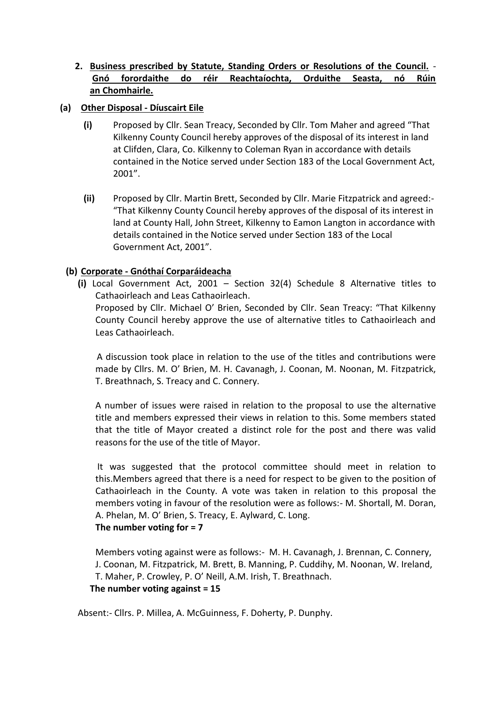## **2. Business prescribed by Statute, Standing Orders or Resolutions of the Council.** - **Gnó forordaithe do réir Reachtaíochta, Orduithe Seasta, nó Rúin an Chomhairle.**

## **(a) Other Disposal - Díuscairt Eile**

- **(i)** Proposed by Cllr. Sean Treacy, Seconded by Cllr. Tom Maher and agreed "That Kilkenny County Council hereby approves of the disposal of its interest in land at Clifden, Clara, Co. Kilkenny to Coleman Ryan in accordance with details contained in the Notice served under Section 183 of the Local Government Act, 2001".
- **(ii)** Proposed by Cllr. Martin Brett, Seconded by Cllr. Marie Fitzpatrick and agreed:- "That Kilkenny County Council hereby approves of the disposal of its interest in land at County Hall, John Street, Kilkenny to Eamon Langton in accordance with details contained in the Notice served under Section 183 of the Local Government Act, 2001".

#### **(b) Corporate - Gnóthaí Corparáideacha**

**(i)** Local Government Act, 2001 – Section 32(4) Schedule 8 Alternative titles to Cathaoirleach and Leas Cathaoirleach.

Proposed by Cllr. Michael O' Brien, Seconded by Cllr. Sean Treacy: "That Kilkenny County Council hereby approve the use of alternative titles to Cathaoirleach and Leas Cathaoirleach.

 A discussion took place in relation to the use of the titles and contributions were made by Cllrs. M. O' Brien, M. H. Cavanagh, J. Coonan, M. Noonan, M. Fitzpatrick, T. Breathnach, S. Treacy and C. Connery.

A number of issues were raised in relation to the proposal to use the alternative title and members expressed their views in relation to this. Some members stated that the title of Mayor created a distinct role for the post and there was valid reasons for the use of the title of Mayor.

It was suggested that the protocol committee should meet in relation to this.Members agreed that there is a need for respect to be given to the position of Cathaoirleach in the County. A vote was taken in relation to this proposal the members voting in favour of the resolution were as follows:- M. Shortall, M. Doran, A. Phelan, M. O' Brien, S. Treacy, E. Aylward, C. Long. **The number voting for = 7** 

Members voting against were as follows:- M. H. Cavanagh, J. Brennan, C. Connery, J. Coonan, M. Fitzpatrick, M. Brett, B. Manning, P. Cuddihy, M. Noonan, W. Ireland, T. Maher, P. Crowley, P. O' Neill, A.M. Irish, T. Breathnach. **The number voting against = 15** 

Absent:- Cllrs. P. Millea, A. McGuinness, F. Doherty, P. Dunphy.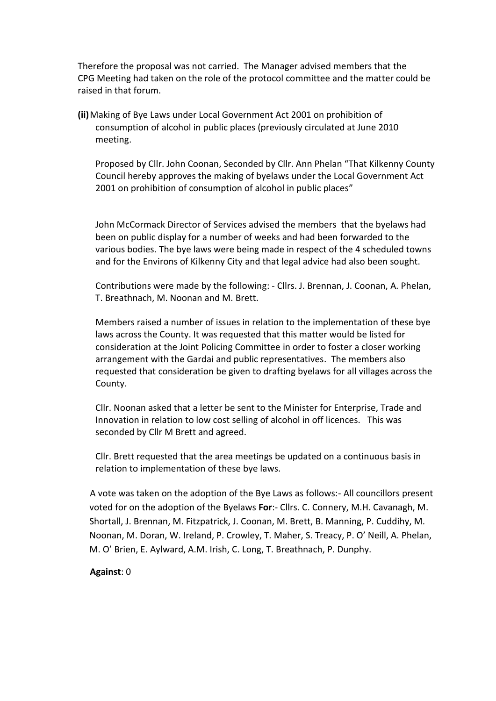Therefore the proposal was not carried. The Manager advised members that the CPG Meeting had taken on the role of the protocol committee and the matter could be raised in that forum.

**(ii)**Making of Bye Laws under Local Government Act 2001 on prohibition of consumption of alcohol in public places (previously circulated at June 2010 meeting.

Proposed by Cllr. John Coonan, Seconded by Cllr. Ann Phelan "That Kilkenny County Council hereby approves the making of byelaws under the Local Government Act 2001 on prohibition of consumption of alcohol in public places"

John McCormack Director of Services advised the members that the byelaws had been on public display for a number of weeks and had been forwarded to the various bodies. The bye laws were being made in respect of the 4 scheduled towns and for the Environs of Kilkenny City and that legal advice had also been sought.

Contributions were made by the following: - Cllrs. J. Brennan, J. Coonan, A. Phelan, T. Breathnach, M. Noonan and M. Brett.

Members raised a number of issues in relation to the implementation of these bye laws across the County. It was requested that this matter would be listed for consideration at the Joint Policing Committee in order to foster a closer working arrangement with the Gardai and public representatives. The members also requested that consideration be given to drafting byelaws for all villages across the County.

Cllr. Noonan asked that a letter be sent to the Minister for Enterprise, Trade and Innovation in relation to low cost selling of alcohol in off licences. This was seconded by Cllr M Brett and agreed.

Cllr. Brett requested that the area meetings be updated on a continuous basis in relation to implementation of these bye laws.

A vote was taken on the adoption of the Bye Laws as follows:- All councillors present voted for on the adoption of the Byelaws **For**:- Cllrs. C. Connery, M.H. Cavanagh, M. Shortall, J. Brennan, M. Fitzpatrick, J. Coonan, M. Brett, B. Manning, P. Cuddihy, M. Noonan, M. Doran, W. Ireland, P. Crowley, T. Maher, S. Treacy, P. O' Neill, A. Phelan, M. O' Brien, E. Aylward, A.M. Irish, C. Long, T. Breathnach, P. Dunphy.

#### **Against**: 0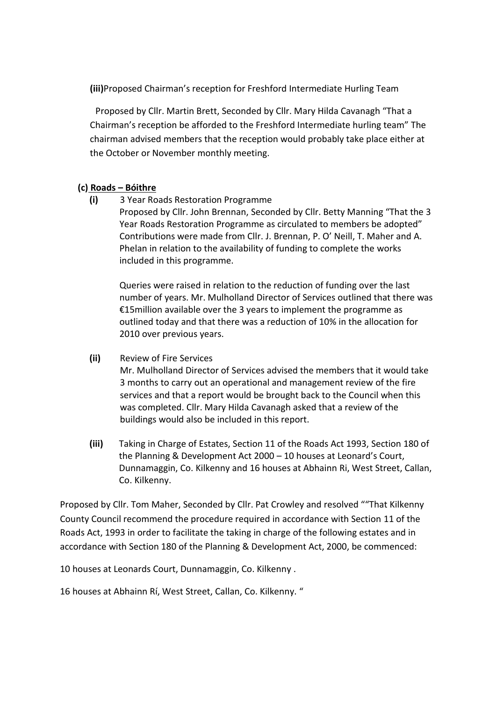**(iii)**Proposed Chairman's reception for Freshford Intermediate Hurling Team

Proposed by Cllr. Martin Brett, Seconded by Cllr. Mary Hilda Cavanagh "That a Chairman's reception be afforded to the Freshford Intermediate hurling team" The chairman advised members that the reception would probably take place either at the October or November monthly meeting.

#### **(c) Roads – Bóithre**

**(i)** 3 Year Roads Restoration Programme Proposed by Cllr. John Brennan, Seconded by Cllr. Betty Manning "That the 3 Year Roads Restoration Programme as circulated to members be adopted" Contributions were made from Cllr. J. Brennan, P. O' Neill, T. Maher and A. Phelan in relation to the availability of funding to complete the works

Queries were raised in relation to the reduction of funding over the last number of years. Mr. Mulholland Director of Services outlined that there was €15million available over the 3 years to implement the programme as outlined today and that there was a reduction of 10% in the allocation for 2010 over previous years.

**(ii)** Review of Fire Services Mr. Mulholland Director of Services advised the members that it would take 3 months to carry out an operational and management review of the fire services and that a report would be brought back to the Council when this was completed. Cllr. Mary Hilda Cavanagh asked that a review of the

buildings would also be included in this report.

**(iii)** Taking in Charge of Estates, Section 11 of the Roads Act 1993, Section 180 of the Planning & Development Act 2000 – 10 houses at Leonard's Court, Dunnamaggin, Co. Kilkenny and 16 houses at Abhainn Ri, West Street, Callan, Co. Kilkenny.

Proposed by Cllr. Tom Maher, Seconded by Cllr. Pat Crowley and resolved ""That Kilkenny County Council recommend the procedure required in accordance with Section 11 of the Roads Act, 1993 in order to facilitate the taking in charge of the following estates and in accordance with Section 180 of the Planning & Development Act, 2000, be commenced:

10 houses at Leonards Court, Dunnamaggin, Co. Kilkenny .

included in this programme.

16 houses at Abhainn Rí, West Street, Callan, Co. Kilkenny. "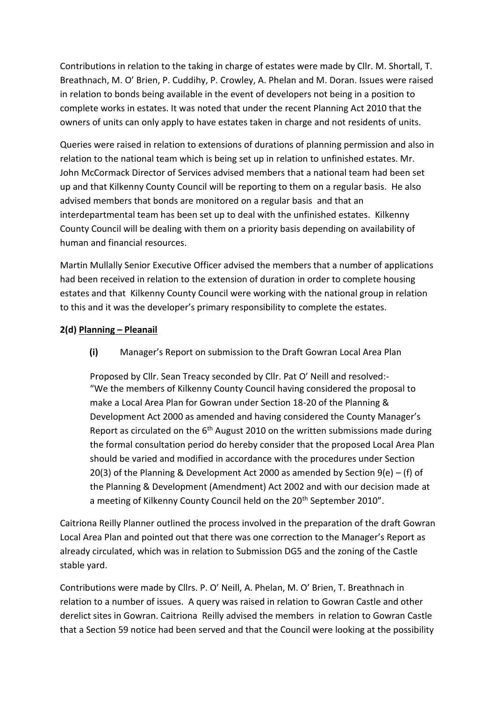Contributions in relation to the taking in charge of estates were made by Cllr. M. Shortall, T. Breathnach, M. O' Brien, P. Cuddihy, P. Crowley, A. Phelan and M. Doran. Issues were raised in relation to bonds being available in the event of developers not being in a position to complete works in estates. It was noted that under the recent Planning Act 2010 that the owners of units can only apply to have estates taken in charge and not residents of units.

Queries were raised in relation to extensions of durations of planning permission and also in relation to the national team which is being set up in relation to unfinished estates. Mr. John McCormack Director of Services advised members that a national team had been set up and that Kilkenny County Council will be reporting to them on a regular basis. He also advised members that bonds are monitored on a regular basis and that an interdepartmental team has been set up to deal with the unfinished estates. Kilkenny County Council will be dealing with them on a priority basis depending on availability of human and financial resources.

Martin Mullally Senior Executive Officer advised the members that a number of applications had been received in relation to the extension of duration in order to complete housing estates and that Kilkenny County Council were working with the national group in relation to this and it was the developer's primary responsibility to complete the estates.

#### **2(d) Planning – Pleanail**

**(i)** Manager's Report on submission to the Draft Gowran Local Area Plan

Proposed by Cllr. Sean Treacy seconded by Cllr. Pat O' Neill and resolved:- "We the members of Kilkenny County Council having considered the proposal to make a Local Area Plan for Gowran under Section 18-20 of the Planning & Development Act 2000 as amended and having considered the County Manager's Report as circulated on the  $6<sup>th</sup>$  August 2010 on the written submissions made during the formal consultation period do hereby consider that the proposed Local Area Plan should be varied and modified in accordance with the procedures under Section 20(3) of the Planning & Development Act 2000 as amended by Section 9(e) – (f) of the Planning & Development (Amendment) Act 2002 and with our decision made at a meeting of Kilkenny County Council held on the 20<sup>th</sup> September 2010".

Caitriona Reilly Planner outlined the process involved in the preparation of the draft Gowran Local Area Plan and pointed out that there was one correction to the Manager's Report as already circulated, which was in relation to Submission DG5 and the zoning of the Castle stable yard.

Contributions were made by Cllrs. P. O' Neill, A. Phelan, M. O' Brien, T. Breathnach in relation to a number of issues. A query was raised in relation to Gowran Castle and other derelict sites in Gowran. Caitriona Reilly advised the members in relation to Gowran Castle that a Section 59 notice had been served and that the Council were looking at the possibility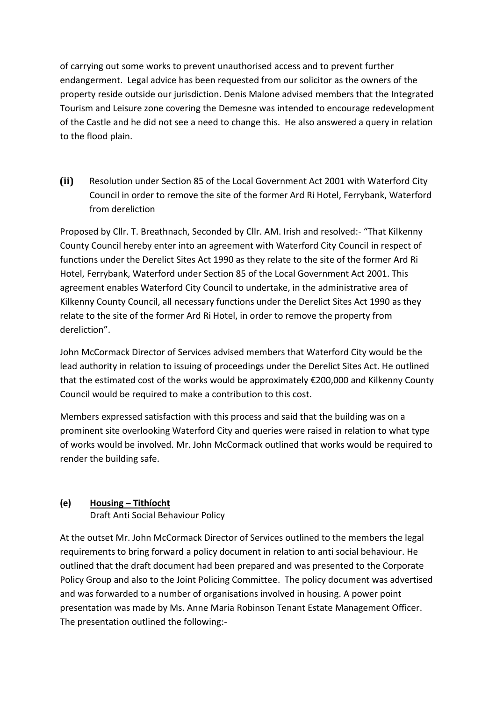of carrying out some works to prevent unauthorised access and to prevent further endangerment. Legal advice has been requested from our solicitor as the owners of the property reside outside our jurisdiction. Denis Malone advised members that the Integrated Tourism and Leisure zone covering the Demesne was intended to encourage redevelopment of the Castle and he did not see a need to change this. He also answered a query in relation to the flood plain.

**(ii)** Resolution under Section 85 of the Local Government Act 2001 with Waterford City Council in order to remove the site of the former Ard Ri Hotel, Ferrybank, Waterford from dereliction

Proposed by Cllr. T. Breathnach, Seconded by Cllr. AM. Irish and resolved:- "That Kilkenny County Council hereby enter into an agreement with Waterford City Council in respect of functions under the Derelict Sites Act 1990 as they relate to the site of the former Ard Ri Hotel, Ferrybank, Waterford under Section 85 of the Local Government Act 2001. This agreement enables Waterford City Council to undertake, in the administrative area of Kilkenny County Council, all necessary functions under the Derelict Sites Act 1990 as they relate to the site of the former Ard Ri Hotel, in order to remove the property from dereliction".

John McCormack Director of Services advised members that Waterford City would be the lead authority in relation to issuing of proceedings under the Derelict Sites Act. He outlined that the estimated cost of the works would be approximately €200,000 and Kilkenny County Council would be required to make a contribution to this cost.

Members expressed satisfaction with this process and said that the building was on a prominent site overlooking Waterford City and queries were raised in relation to what type of works would be involved. Mr. John McCormack outlined that works would be required to render the building safe.

## **(e) Housing – Tithíocht**

Draft Anti Social Behaviour Policy

At the outset Mr. John McCormack Director of Services outlined to the members the legal requirements to bring forward a policy document in relation to anti social behaviour. He outlined that the draft document had been prepared and was presented to the Corporate Policy Group and also to the Joint Policing Committee. The policy document was advertised and was forwarded to a number of organisations involved in housing. A power point presentation was made by Ms. Anne Maria Robinson Tenant Estate Management Officer. The presentation outlined the following:-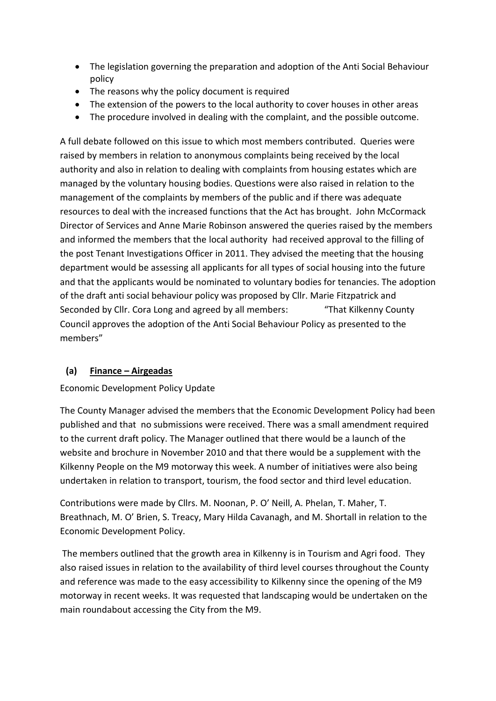- The legislation governing the preparation and adoption of the Anti Social Behaviour policy
- The reasons why the policy document is required
- The extension of the powers to the local authority to cover houses in other areas
- The procedure involved in dealing with the complaint, and the possible outcome.

A full debate followed on this issue to which most members contributed. Queries were raised by members in relation to anonymous complaints being received by the local authority and also in relation to dealing with complaints from housing estates which are managed by the voluntary housing bodies. Questions were also raised in relation to the management of the complaints by members of the public and if there was adequate resources to deal with the increased functions that the Act has brought. John McCormack Director of Services and Anne Marie Robinson answered the queries raised by the members and informed the members that the local authority had received approval to the filling of the post Tenant Investigations Officer in 2011. They advised the meeting that the housing department would be assessing all applicants for all types of social housing into the future and that the applicants would be nominated to voluntary bodies for tenancies. The adoption of the draft anti social behaviour policy was proposed by Cllr. Marie Fitzpatrick and Seconded by Cllr. Cora Long and agreed by all members: "That Kilkenny County Council approves the adoption of the Anti Social Behaviour Policy as presented to the members"

## **(a) Finance – Airgeadas**

## Economic Development Policy Update

The County Manager advised the members that the Economic Development Policy had been published and that no submissions were received. There was a small amendment required to the current draft policy. The Manager outlined that there would be a launch of the website and brochure in November 2010 and that there would be a supplement with the Kilkenny People on the M9 motorway this week. A number of initiatives were also being undertaken in relation to transport, tourism, the food sector and third level education.

Contributions were made by Cllrs. M. Noonan, P. O' Neill, A. Phelan, T. Maher, T. Breathnach, M. O' Brien, S. Treacy, Mary Hilda Cavanagh, and M. Shortall in relation to the Economic Development Policy.

The members outlined that the growth area in Kilkenny is in Tourism and Agri food. They also raised issues in relation to the availability of third level courses throughout the County and reference was made to the easy accessibility to Kilkenny since the opening of the M9 motorway in recent weeks. It was requested that landscaping would be undertaken on the main roundabout accessing the City from the M9.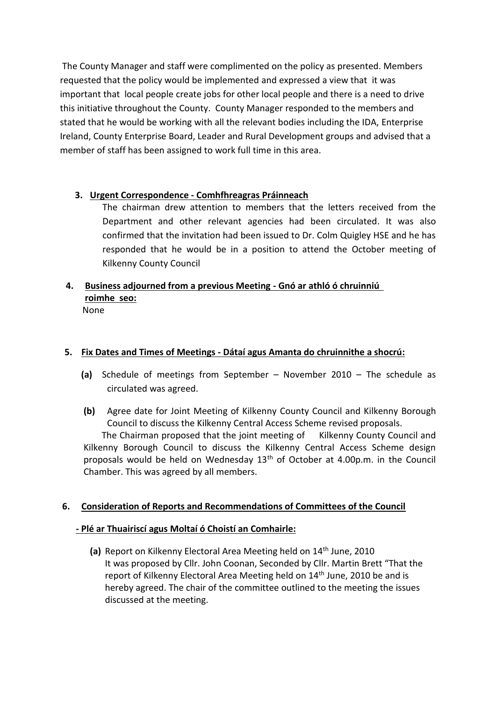The County Manager and staff were complimented on the policy as presented. Members requested that the policy would be implemented and expressed a view that it was important that local people create jobs for other local people and there is a need to drive this initiative throughout the County. County Manager responded to the members and stated that he would be working with all the relevant bodies including the IDA, Enterprise Ireland, County Enterprise Board, Leader and Rural Development groups and advised that a member of staff has been assigned to work full time in this area.

## **3. Urgent Correspondence - Comhfhreagras Práinneach**

The chairman drew attention to members that the letters received from the Department and other relevant agencies had been circulated. It was also confirmed that the invitation had been issued to Dr. Colm Quigley HSE and he has responded that he would be in a position to attend the October meeting of Kilkenny County Council

## **4. Business adjourned from a previous Meeting - Gnó ar athló ó chruinniú roimhe seo:** None

## **5. Fix Dates and Times of Meetings - Dátaí agus Amanta do chruinnithe a shocrú:**

- **(a)** Schedule of meetings from September November 2010 The schedule as circulated was agreed.
- **(b)** Agree date for Joint Meeting of Kilkenny County Council and Kilkenny Borough Council to discuss the Kilkenny Central Access Scheme revised proposals.

The Chairman proposed that the joint meeting of Kilkenny County Council and Kilkenny Borough Council to discuss the Kilkenny Central Access Scheme design proposals would be held on Wednesday 13th of October at 4.00p.m. in the Council Chamber. This was agreed by all members.

## **6. Consideration of Reports and Recommendations of Committees of the Council**

#### **- Plé ar Thuairiscí agus Moltaí ó Choistí an Comhairle:**

**(a)** Report on Kilkenny Electoral Area Meeting held on 14th June, 2010 It was proposed by Cllr. John Coonan, Seconded by Cllr. Martin Brett "That the report of Kilkenny Electoral Area Meeting held on 14<sup>th</sup> June, 2010 be and is hereby agreed. The chair of the committee outlined to the meeting the issues discussed at the meeting.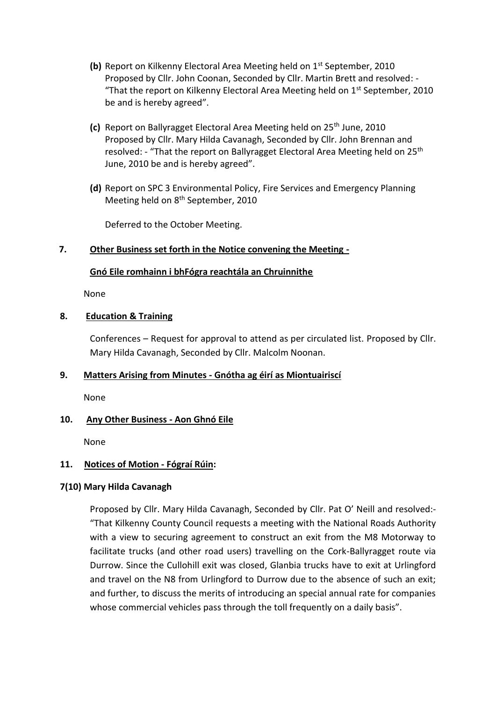- **(b)** Report on Kilkenny Electoral Area Meeting held on 1<sup>st</sup> September, 2010 Proposed by Cllr. John Coonan, Seconded by Cllr. Martin Brett and resolved: - "That the report on Kilkenny Electoral Area Meeting held on  $1^{st}$  September, 2010 be and is hereby agreed".
- **(c)** Report on Ballyragget Electoral Area Meeting held on 25th June, 2010 Proposed by Cllr. Mary Hilda Cavanagh, Seconded by Cllr. John Brennan and resolved: - "That the report on Ballyragget Electoral Area Meeting held on 25<sup>th</sup> June, 2010 be and is hereby agreed".
- **(d)** Report on SPC 3 Environmental Policy, Fire Services and Emergency Planning Meeting held on 8<sup>th</sup> September, 2010

Deferred to the October Meeting.

#### **7. Other Business set forth in the Notice convening the Meeting -**

#### **Gnó Eile romhainn i bhFógra reachtála an Chruinnithe**

None

#### **8. Education & Training**

Conferences – Request for approval to attend as per circulated list. Proposed by Cllr. Mary Hilda Cavanagh, Seconded by Cllr. Malcolm Noonan.

## **9. Matters Arising from Minutes - Gnótha ag éirí as Miontuairiscí**

None

## **10. Any Other Business - Aon Ghnó Eile**

None

## **11. Notices of Motion - Fógraí Rúin:**

## **7(10) Mary Hilda Cavanagh**

Proposed by Cllr. Mary Hilda Cavanagh, Seconded by Cllr. Pat O' Neill and resolved:- "That Kilkenny County Council requests a meeting with the National Roads Authority with a view to securing agreement to construct an exit from the M8 Motorway to facilitate trucks (and other road users) travelling on the Cork-Ballyragget route via Durrow. Since the Cullohill exit was closed, Glanbia trucks have to exit at Urlingford and travel on the N8 from Urlingford to Durrow due to the absence of such an exit; and further, to discuss the merits of introducing an special annual rate for companies whose commercial vehicles pass through the toll frequently on a daily basis".